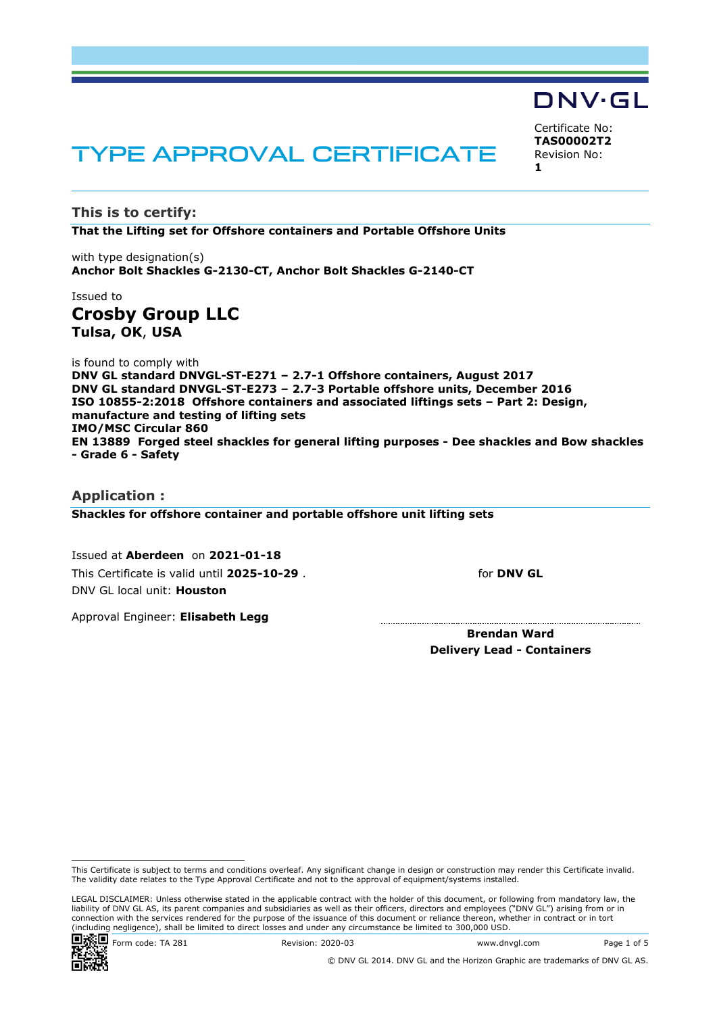# TYPE APPROVAL CERTIFICATE

**This is to certify: That the Lifting set for Offshore containers and Portable Offshore Units**

with type designation(s) **Anchor Bolt Shackles G-2130-CT, Anchor Bolt Shackles G-2140-CT**

### Issued to **Crosby Group LLC Tulsa, OK**, **USA**

is found to comply with **DNV GL standard DNVGL-ST-E271 – 2.7-1 Offshore containers, August 2017 DNV GL standard DNVGL-ST-E273 – 2.7-3 Portable offshore units, December 2016 ISO 10855-2:2018 Offshore containers and associated liftings sets – Part 2: Design, manufacture and testing of lifting sets IMO/MSC Circular 860 EN 13889 Forged steel shackles for general lifting purposes - Dee shackles and Bow shackles - Grade 6 - Safety**

### **Application : Shackles for offshore container and portable offshore unit lifting sets**

Issued at **Aberdeen** on **2021-01-18** This Certificate is valid until **2025-10-29** . DNV GL local unit: **Houston**

for **DNV GL**

Certificate No: **TAS00002T2** Revision No:

DNV·GL

**1**

Approval Engineer: **Elisabeth Legg**

 **Brendan Ward Delivery Lead - Containers**

LEGAL DISCLAIMER: Unless otherwise stated in the applicable contract with the holder of this document, or following from mandatory law, the liability of DNV GL AS, its parent companies and subsidiaries as well as their officers, directors and employees ("DNV GL") arising from or in connection with the services rendered for the purpose of the issuance of this document or reliance thereon, whether in contract or in tort (including negligence), shall be limited to direct losses and under any circumstance be limited to 300,000 USD.



© DNV GL 2014. DNV GL and the Horizon Graphic are trademarks of DNV GL AS.

This Certificate is subject to terms and conditions overleaf. Any significant change in design or construction may render this Certificate invalid. The validity date relates to the Type Approval Certificate and not to the approval of equipment/systems installed.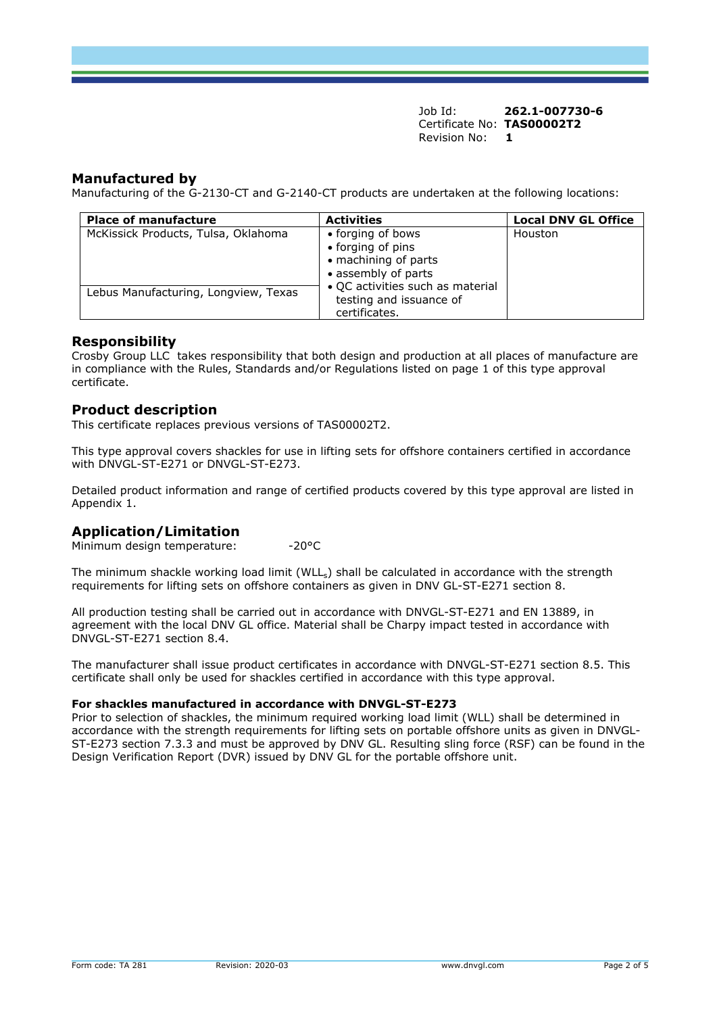Job Id: **262.1-007730-6**  Certificate No: **TAS00002T2** Revision No: **1** 

### **Manufactured by**

Manufacturing of the G-2130-CT and G-2140-CT products are undertaken at the following locations:

| <b>Place of manufacture</b>          | <b>Activities</b>                                                                     | <b>Local DNV GL Office</b> |
|--------------------------------------|---------------------------------------------------------------------------------------|----------------------------|
| McKissick Products, Tulsa, Oklahoma  | • forging of bows<br>• forging of pins<br>• machining of parts<br>• assembly of parts | Houston                    |
| Lebus Manufacturing, Longview, Texas | • QC activities such as material<br>testing and issuance of<br>certificates.          |                            |

### **Responsibility**

Crosby Group LLC takes responsibility that both design and production at all places of manufacture are in compliance with the Rules, Standards and/or Regulations listed on page 1 of this type approval certificate.

### **Product description**

This certificate replaces previous versions of TAS00002T2.

This type approval covers shackles for use in lifting sets for offshore containers certified in accordance with DNVGL-ST-E271 or DNVGL-ST-E273.

Detailed product information and range of certified products covered by this type approval are listed in Appendix 1.

### **Application/Limitation**

Minimum design temperature: -20°C

The minimum shackle working load limit (WLL<sub>s</sub>) shall be calculated in accordance with the strength requirements for lifting sets on offshore containers as given in DNV GL-ST-E271 section 8.

All production testing shall be carried out in accordance with DNVGL-ST-E271 and EN 13889, in agreement with the local DNV GL office. Material shall be Charpy impact tested in accordance with DNVGL-ST-E271 section 8.4.

The manufacturer shall issue product certificates in accordance with DNVGL-ST-E271 section 8.5. This certificate shall only be used for shackles certified in accordance with this type approval.

### **For shackles manufactured in accordance with DNVGL-ST-E273**

Prior to selection of shackles, the minimum required working load limit (WLL) shall be determined in accordance with the strength requirements for lifting sets on portable offshore units as given in DNVGL-ST-E273 section 7.3.3 and must be approved by DNV GL. Resulting sling force (RSF) can be found in the Design Verification Report (DVR) issued by DNV GL for the portable offshore unit.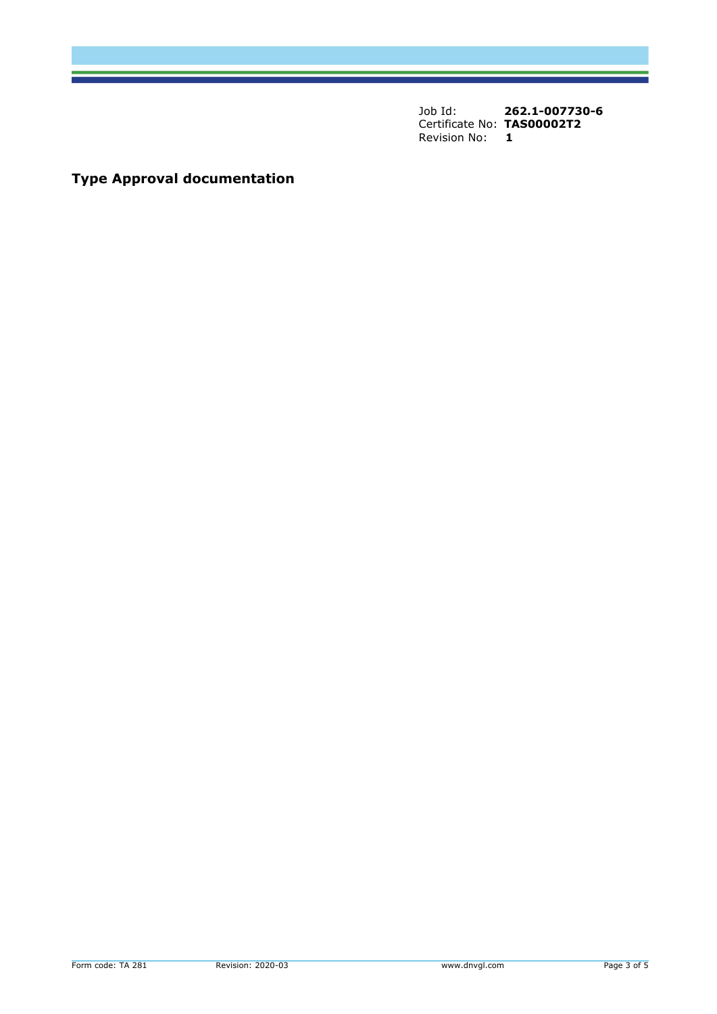Job Id: **262.1-007730-6**  Certificate No: **TAS00002T2**<br>Revision No: 1 **Revision No:** 

# **Type Approval documentation**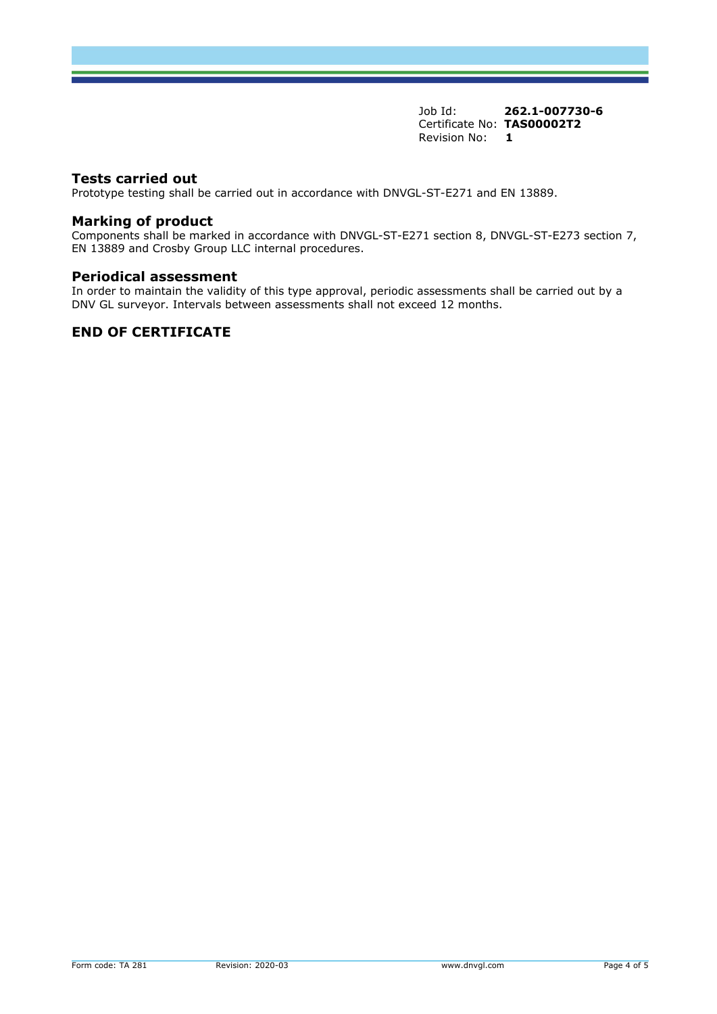Job Id: **262.1-007730-6**  Certificate No: **TAS00002T2** Revision No: **1** 

### **Tests carried out**

Prototype testing shall be carried out in accordance with DNVGL-ST-E271 and EN 13889.

### **Marking of product**

Components shall be marked in accordance with DNVGL-ST-E271 section 8, DNVGL-ST-E273 section 7, EN 13889 and Crosby Group LLC internal procedures.

### **Periodical assessment**

In order to maintain the validity of this type approval, periodic assessments shall be carried out by a DNV GL surveyor. Intervals between assessments shall not exceed 12 months.

### **END OF CERTIFICATE**